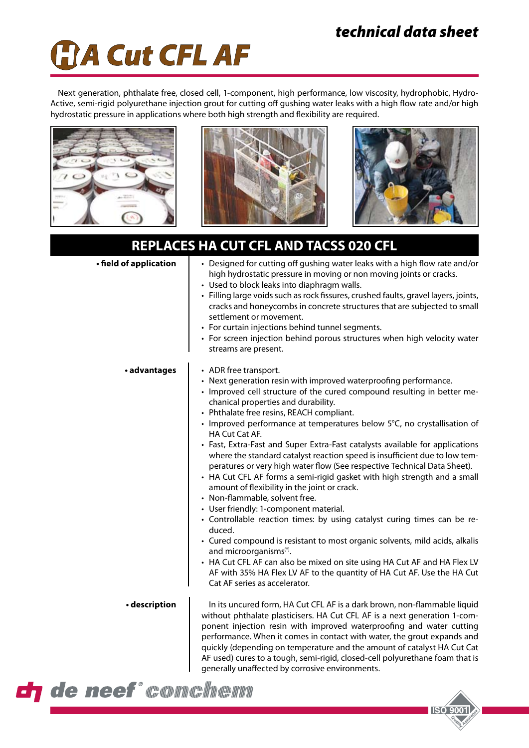# *technical data sheet*



Next generation, phthalate free, closed cell, 1-component, high performance, low viscosity, hydrophobic, Hydro-Active, semi-rigid polyurethane injection grout for cutting off gushing water leaks with a high flow rate and/or high hydrostatic pressure in applications where both high strength and flexibility are required.







**ISO 9001** 

## **REPLACES HA CUT CFL AND TACSS 020 CFL**

| • field of application | • Designed for cutting off gushing water leaks with a high flow rate and/or<br>high hydrostatic pressure in moving or non moving joints or cracks.<br>• Used to block leaks into diaphragm walls.<br>· Filling large voids such as rock fissures, crushed faults, gravel layers, joints,<br>cracks and honeycombs in concrete structures that are subjected to small<br>settlement or movement.<br>• For curtain injections behind tunnel segments.<br>• For screen injection behind porous structures when high velocity water<br>streams are present.                                                                                                                                                                                                                                                                                                                                                                                                                                                                                                                                                                                                                                                    |
|------------------------|------------------------------------------------------------------------------------------------------------------------------------------------------------------------------------------------------------------------------------------------------------------------------------------------------------------------------------------------------------------------------------------------------------------------------------------------------------------------------------------------------------------------------------------------------------------------------------------------------------------------------------------------------------------------------------------------------------------------------------------------------------------------------------------------------------------------------------------------------------------------------------------------------------------------------------------------------------------------------------------------------------------------------------------------------------------------------------------------------------------------------------------------------------------------------------------------------------|
| · advantages           | • ADR free transport.<br>• Next generation resin with improved waterproofing performance.<br>• Improved cell structure of the cured compound resulting in better me-<br>chanical properties and durability.<br>• Phthalate free resins, REACH compliant.<br>• Improved performance at temperatures below 5°C, no crystallisation of<br>HA Cut Cat AF.<br>• Fast, Extra-Fast and Super Extra-Fast catalysts available for applications<br>where the standard catalyst reaction speed is insufficient due to low tem-<br>peratures or very high water flow (See respective Technical Data Sheet).<br>• HA Cut CFL AF forms a semi-rigid gasket with high strength and a small<br>amount of flexibility in the joint or crack.<br>• Non-flammable, solvent free.<br>• User friendly: 1-component material.<br>• Controllable reaction times: by using catalyst curing times can be re-<br>duced.<br>• Cured compound is resistant to most organic solvents, mild acids, alkalis<br>and microorganisms <sup>(*)</sup> .<br>• HA Cut CFL AF can also be mixed on site using HA Cut AF and HA Flex LV<br>AF with 35% HA Flex LV AF to the quantity of HA Cut AF. Use the HA Cut<br>Cat AF series as accelerator. |
| · description          | In its uncured form, HA Cut CFL AF is a dark brown, non-flammable liquid<br>without phthalate plasticisers. HA Cut CFL AF is a next generation 1-com-<br>ponent injection resin with improved waterproofing and water cutting<br>performance. When it comes in contact with water, the grout expands and<br>quickly (depending on temperature and the amount of catalyst HA Cut Cat<br>AF used) cures to a tough, semi-rigid, closed-cell polyurethane foam that is<br>generally unaffected by corrosive environments.                                                                                                                                                                                                                                                                                                                                                                                                                                                                                                                                                                                                                                                                                     |

de neef "temmt" in de n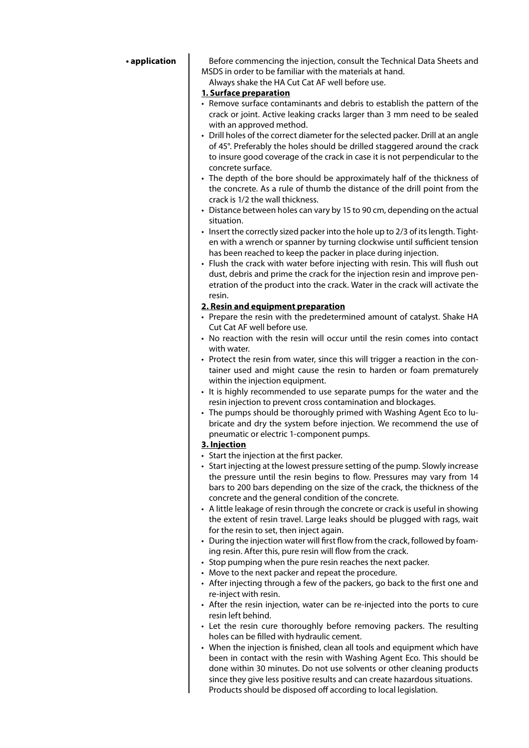#### **• application**

Before commencing the injection, consult the Technical Data Sheets and MSDS in order to be familiar with the materials at hand.

Always shake the HA Cut Cat AF well before use.

- **1. Surface preparation**
- Remove surface contaminants and debris to establish the pattern of the crack or joint. Active leaking cracks larger than 3 mm need to be sealed with an approved method.
- Drill holes of the correct diameter for the selected packer. Drill at an angle of 45°. Preferably the holes should be drilled staggered around the crack to insure good coverage of the crack in case it is not perpendicular to the concrete surface.
- The depth of the bore should be approximately half of the thickness of the concrete. As a rule of thumb the distance of the drill point from the crack is 1/2 the wall thickness.
- Distance between holes can vary by 15 to 90 cm, depending on the actual situation.
- $\cdot$  Insert the correctly sized packer into the hole up to 2/3 of its length. Tighten with a wrench or spanner by turning clockwise until sufficient tension has been reached to keep the packer in place during injection.
- Flush the crack with water before injecting with resin. This will flush out dust, debris and prime the crack for the injection resin and improve penetration of the product into the crack. Water in the crack will activate the resin.

#### **2. Resin and equipment preparation**

- Prepare the resin with the predetermined amount of catalyst. Shake HA Cut Cat AF well before use.
- No reaction with the resin will occur until the resin comes into contact with water.
- Protect the resin from water, since this will trigger a reaction in the container used and might cause the resin to harden or foam prematurely within the injection equipment.
- It is highly recommended to use separate pumps for the water and the resin injection to prevent cross contamination and blockages.
- The pumps should be thoroughly primed with Washing Agent Eco to lubricate and dry the system before injection. We recommend the use of pneumatic or electric 1-component pumps.

#### **3. Injection**

- Start the injection at the first packer.
- Start injecting at the lowest pressure setting of the pump. Slowly increase the pressure until the resin begins to flow. Pressures may vary from 14 bars to 200 bars depending on the size of the crack, the thickness of the concrete and the general condition of the concrete.
- A little leakage of resin through the concrete or crack is useful in showing the extent of resin travel. Large leaks should be plugged with rags, wait for the resin to set, then inject again.
- • During the injection water will first flow from the crack, followed by foaming resin. After this, pure resin will flow from the crack.
- Stop pumping when the pure resin reaches the next packer.
- Move to the next packer and repeat the procedure.
- After injecting through a few of the packers, go back to the first one and re-inject with resin.
- After the resin injection, water can be re-injected into the ports to cure resin left behind.
- Let the resin cure thoroughly before removing packers. The resulting holes can be filled with hydraulic cement.
- When the injection is finished, clean all tools and equipment which have been in contact with the resin with Washing Agent Eco. This should be done within 30 minutes. Do not use solvents or other cleaning products since they give less positive results and can create hazardous situations. Products should be disposed off according to local legislation.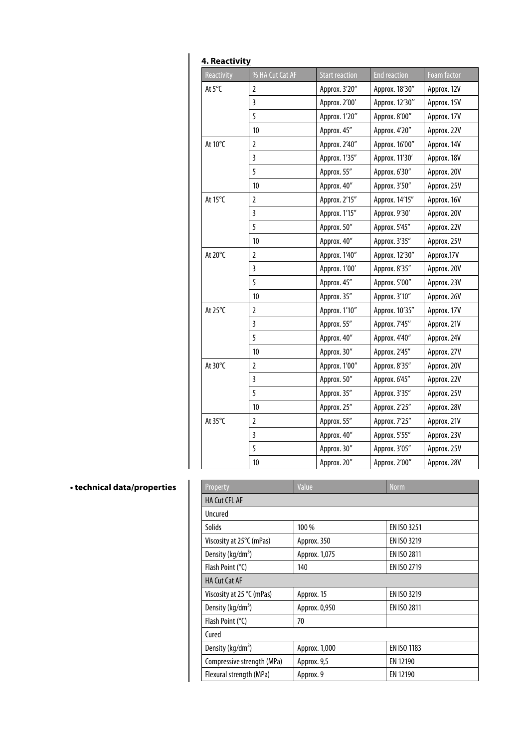| 4. Reactivity |                         |                       |                     |                    |  |
|---------------|-------------------------|-----------------------|---------------------|--------------------|--|
| Reactivity    | % HA Cut Cat AF         | <b>Start reaction</b> | <b>End reaction</b> | <b>Foam factor</b> |  |
| At 5°C        | $\overline{2}$          | Approx. 3'20"         | Approx. 18'30"      | Approx. 12V        |  |
|               | $\overline{\mathbf{3}}$ | Approx. 2'00'         | Approx. 12'30"      | Approx. 15V        |  |
|               | 5                       | Approx. 1'20"         | Approx. 8'00"       | Approx. 17V        |  |
|               | 10                      | Approx. 45"           | Approx. 4'20"       | Approx. 22V        |  |
| At 10°C       | $\overline{2}$          | Approx. 2'40"         | Approx. 16'00"      | Approx. 14V        |  |
|               | 3                       | Approx. 1'35"         | Approx. 11'30'      | Approx. 18V        |  |
|               | 5                       | Approx. 55"           | Approx. 6'30"       | Approx. 20V        |  |
|               | 10                      | Approx. 40"           | Approx. 3'50"       | Approx. 25V        |  |
| At 15°C       | 2                       | Approx. 2'15"         | Approx. 14'15"      | Approx. 16V        |  |
|               | 3                       | Approx. 1'15"         | Approx. 9'30'       | Approx. 20V        |  |
|               | 5                       | Approx. 50"           | Approx. 5'45"       | Approx. 22V        |  |
|               | 10                      | Approx. 40"           | Approx. 3'35"       | Approx. 25V        |  |
| At 20°C       | 2                       | Approx. 1'40"         | Approx. 12'30"      | Approx.17V         |  |
|               | 3                       | Approx. 1'00'         | Approx. 8'35"       | Approx. 20V        |  |
|               | 5                       | Approx. 45"           | Approx. 5'00"       | Approx. 23V        |  |
|               | 10                      | Approx. 35"           | Approx. 3'10"       | Approx. 26V        |  |
| At 25°C       | $\overline{2}$          | Approx. 1'10"         | Approx. 10'35"      | Approx. 17V        |  |
|               | $\overline{\mathbf{3}}$ | Approx. 55"           | Approx. 7'45"       | Approx. 21V        |  |
|               | 5                       | Approx. 40"           | Approx. 4'40"       | Approx. 24V        |  |
|               | 10                      | Approx. 30"           | Approx. 2'45"       | Approx. 27V        |  |
| At 30°C       | 2                       | Approx. 1'00"         | Approx. 8'35"       | Approx. 20V        |  |
|               | 3                       | Approx. 50"           | Approx. 6'45"       | Approx. 22V        |  |
|               | 5                       | Approx. 35"           | Approx. 3'35"       | Approx. 25V        |  |
|               | 10                      | Approx. 25"           | Approx. 2'25"       | Approx. 28V        |  |
| At 35°C       | 2                       | Approx. 55"           | Approx. 7'25"       | Approx. 21V        |  |
|               | 3                       | Approx. 40"           | Approx. 5'55"       | Approx. 23V        |  |
|               | 5                       | Approx. 30"           | Approx. 3'05"       | Approx. 25V        |  |
|               | 10                      | Approx. 20"           | Approx. 2'00"       | Approx. 28V        |  |
|               |                         |                       |                     |                    |  |

### **• technical data/properties**

| Property                      | Value         | <b>Norm</b>        |  |  |
|-------------------------------|---------------|--------------------|--|--|
| <b>HA Cut CFL AF</b>          |               |                    |  |  |
| Uncured                       |               |                    |  |  |
| Solids                        | 100 %         | EN ISO 3251        |  |  |
| Viscosity at 25°C (mPas)      | Approx. 350   | <b>EN ISO 3219</b> |  |  |
| Density (kg/dm <sup>3</sup> ) | Approx. 1,075 | EN ISO 2811        |  |  |
| Flash Point $(°C)$            | 140           | EN ISO 2719        |  |  |
| <b>HA Cut Cat AF</b>          |               |                    |  |  |
| Viscosity at 25 °C (mPas)     | Approx. 15    | EN ISO 3219        |  |  |
| Density (kg/dm <sup>3</sup> ) | Approx. 0,950 | EN ISO 2811        |  |  |
| Flash Point (°C)              | 70            |                    |  |  |
| Cured                         |               |                    |  |  |
| Density (kg/dm <sup>3</sup> ) | Approx. 1,000 | EN ISO 1183        |  |  |
| Compressive strength (MPa)    | Approx. 9,5   | EN 12190           |  |  |
| Flexural strength (MPa)       | Approx. 9     | EN 12190           |  |  |